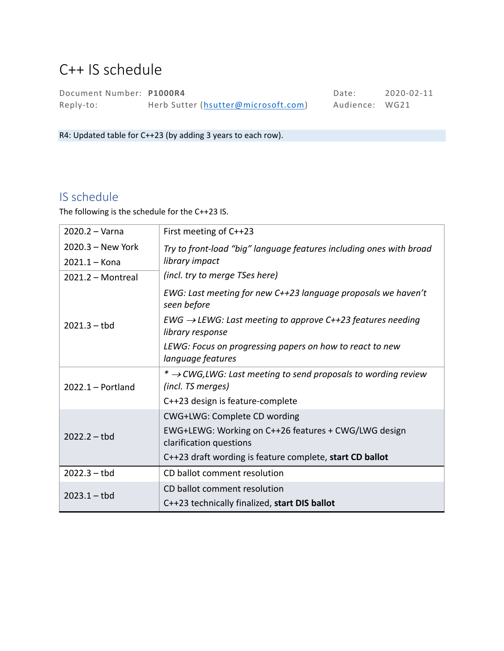# C++ IS schedule

Document Number: **P1000R4** Date: 2020-02-11 Reply-to: Herb Sutter [\(hsutter@microsoft.com\)](mailto:hsutter@microsoft.com) Audience: WG21

R4: Updated table for C++23 (by adding 3 years to each row).

## IS schedule

The following is the schedule for the C++23 IS.

| $2020.2 - Varna$    | First meeting of C++23                                                                          |  |  |  |
|---------------------|-------------------------------------------------------------------------------------------------|--|--|--|
| $2020.3 - New York$ | Try to front-load "big" language features including ones with broad                             |  |  |  |
| $2021.1 -$ Kona     | library impact                                                                                  |  |  |  |
| $2021.2 - Montreal$ | (incl. try to merge TSes here)                                                                  |  |  |  |
| $2021.3 - tbd$      | EWG: Last meeting for new C++23 language proposals we haven't<br>seen before                    |  |  |  |
|                     | $EWG \rightarrow LEWG$ : Last meeting to approve C++23 features needing<br>library response     |  |  |  |
|                     | LEWG: Focus on progressing papers on how to react to new<br>language features                   |  |  |  |
| $2022.1 -$ Portland | * $\rightarrow$ CWG, LWG: Last meeting to send proposals to wording review<br>(incl. TS merges) |  |  |  |
|                     | C++23 design is feature-complete                                                                |  |  |  |
| $2022.2 - tbd$      | CWG+LWG: Complete CD wording                                                                    |  |  |  |
|                     | EWG+LEWG: Working on C++26 features + CWG/LWG design<br>clarification questions                 |  |  |  |
|                     | C++23 draft wording is feature complete, start CD ballot                                        |  |  |  |
| $2022.3 - tbd$      | CD ballot comment resolution                                                                    |  |  |  |
| $2023.1 - tbd$      | CD ballot comment resolution                                                                    |  |  |  |
|                     | C++23 technically finalized, start DIS ballot                                                   |  |  |  |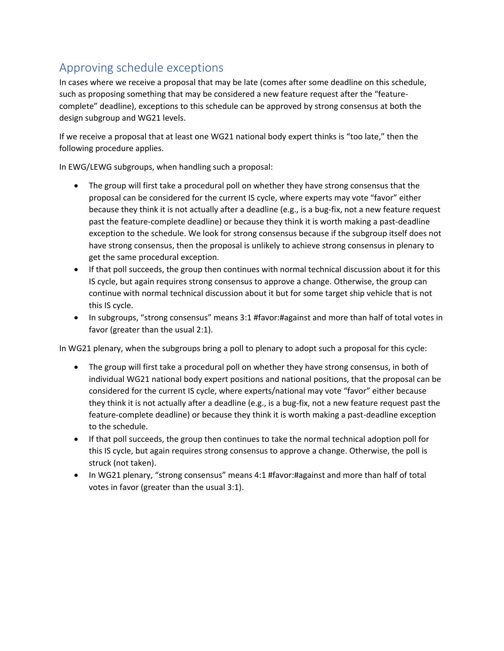## Approving schedule exceptions

In cases where we receive a proposal that may be late (comes after some deadline on this schedule, such as proposing something that may be considered a new feature request after the "featurecomplete" deadline), exceptions to this schedule can be approved by strong consensus at both the design subgroup and WG21 levels.

If we receive a proposal that at least one WG21 national body expert thinks is "too late," then the following procedure applies.

In EWG/LEWG subgroups, when handling such a proposal:

- The group will first take a procedural poll on whether they have strong consensus that the proposal can be considered for the current IS cycle, where experts may vote "favor" either because they think it is not actually after a deadline (e.g., is a bug-fix, not a new feature request past the feature-complete deadline) or because they think it is worth making a past-deadline exception to the schedule. We look for strong consensus because if the subgroup itself does not have strong consensus, then the proposal is unlikely to achieve strong consensus in plenary to get the same procedural exception.
- If that poll succeeds, the group then continues with normal technical discussion about it for this IS cycle, but again requires strong consensus to approve a change. Otherwise, the group can continue with normal technical discussion about it but for some target ship vehicle that is not this IS cycle.
- In subgroups, "strong consensus" means 3:1 #favor:#against and more than half of total votes in favor (greater than the usual 2:1).

In WG21 plenary, when the subgroups bring a poll to plenary to adopt such a proposal for this cycle:

- The group will first take a procedural poll on whether they have strong consensus, in both of individual WG21 national body expert positions and national positions, that the proposal can be considered for the current IS cycle, where experts/national may vote "favor" either because they think it is not actually after a deadline (e.g., is a bug-fix, not a new feature request past the feature-complete deadline) or because they think it is worth making a past-deadline exception to the schedule.
- If that poll succeeds, the group then continues to take the normal technical adoption poll for this IS cycle, but again requires strong consensus to approve a change. Otherwise, the poll is struck (not taken).
- In WG21 plenary, "strong consensus" means 4:1 #favor:#against and more than half of total votes in favor (greater than the usual 3:1).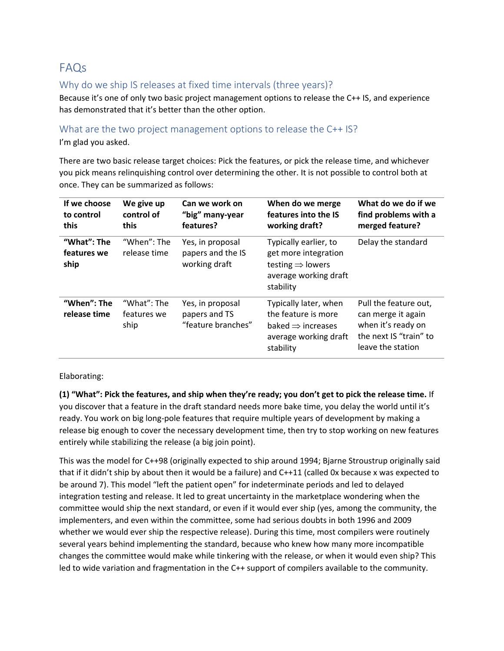## FAQs

#### Why do we ship IS releases at fixed time intervals (three years)?

Because it's one of only two basic project management options to release the C++ IS, and experience has demonstrated that it's better than the other option.

#### What are the two project management options to release the C++ IS?

I'm glad you asked.

There are two basic release target choices: Pick the features, or pick the release time, and whichever you pick means relinquishing control over determining the other. It is not possible to control both at once. They can be summarized as follows:

| If we choose<br>to control<br>this | We give up<br>control of<br>this   | Can we work on<br>"big" many-year<br>features?          | When do we merge<br>features into the IS<br>working draft?                                                          | What do we do if we<br>find problems with a<br>merged feature?                                                   |
|------------------------------------|------------------------------------|---------------------------------------------------------|---------------------------------------------------------------------------------------------------------------------|------------------------------------------------------------------------------------------------------------------|
| "What": The<br>features we<br>ship | "When": The<br>release time        | Yes, in proposal<br>papers and the IS<br>working draft  | Typically earlier, to<br>get more integration<br>testing $\Rightarrow$ lowers<br>average working draft<br>stability | Delay the standard                                                                                               |
| "When": The<br>release time        | "What": The<br>features we<br>ship | Yes, in proposal<br>papers and TS<br>"feature branches" | Typically later, when<br>the feature is more<br>baked $\Rightarrow$ increases<br>average working draft<br>stability | Pull the feature out,<br>can merge it again<br>when it's ready on<br>the next IS "train" to<br>leave the station |

Elaborating:

**(1) "What": Pick the features, and ship when they're ready; you don't get to pick the release time.** If you discover that a feature in the draft standard needs more bake time, you delay the world until it's ready. You work on big long-pole features that require multiple years of development by making a release big enough to cover the necessary development time, then try to stop working on new features entirely while stabilizing the release (a big join point).

This was the model for C++98 (originally expected to ship around 1994; Bjarne Stroustrup originally said that if it didn't ship by about then it would be a failure) and C++11 (called 0x because x was expected to be around 7). This model "left the patient open" for indeterminate periods and led to delayed integration testing and release. It led to great uncertainty in the marketplace wondering when the committee would ship the next standard, or even if it would ever ship (yes, among the community, the implementers, and even within the committee, some had serious doubts in both 1996 and 2009 whether we would ever ship the respective release). During this time, most compilers were routinely several years behind implementing the standard, because who knew how many more incompatible changes the committee would make while tinkering with the release, or when it would even ship? This led to wide variation and fragmentation in the C++ support of compilers available to the community.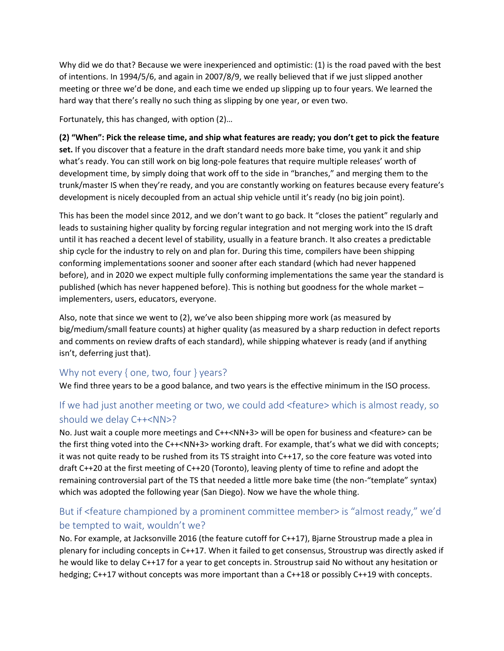Why did we do that? Because we were inexperienced and optimistic: (1) is the road paved with the best of intentions. In 1994/5/6, and again in 2007/8/9, we really believed that if we just slipped another meeting or three we'd be done, and each time we ended up slipping up to four years. We learned the hard way that there's really no such thing as slipping by one year, or even two.

Fortunately, this has changed, with option (2)…

**(2) "When": Pick the release time, and ship what features are ready; you don't get to pick the feature set.** If you discover that a feature in the draft standard needs more bake time, you yank it and ship what's ready. You can still work on big long-pole features that require multiple releases' worth of development time, by simply doing that work off to the side in "branches," and merging them to the trunk/master IS when they're ready, and you are constantly working on features because every feature's development is nicely decoupled from an actual ship vehicle until it's ready (no big join point).

This has been the model since 2012, and we don't want to go back. It "closes the patient" regularly and leads to sustaining higher quality by forcing regular integration and not merging work into the IS draft until it has reached a decent level of stability, usually in a feature branch. It also creates a predictable ship cycle for the industry to rely on and plan for. During this time, compilers have been shipping conforming implementations sooner and sooner after each standard (which had never happened before), and in 2020 we expect multiple fully conforming implementations the same year the standard is published (which has never happened before). This is nothing but goodness for the whole market – implementers, users, educators, everyone.

Also, note that since we went to (2), we've also been shipping more work (as measured by big/medium/small feature counts) at higher quality (as measured by a sharp reduction in defect reports and comments on review drafts of each standard), while shipping whatever is ready (and if anything isn't, deferring just that).

#### Why not every { one, two, four } years?

We find three years to be a good balance, and two years is the effective minimum in the ISO process.

### If we had just another meeting or two, we could add <feature> which is almost ready, so should we delay C++<NN>?

No. Just wait a couple more meetings and C++<NN+3> will be open for business and <feature> can be the first thing voted into the C++<NN+3> working draft. For example, that's what we did with concepts; it was not quite ready to be rushed from its TS straight into C++17, so the core feature was voted into draft C++20 at the first meeting of C++20 (Toronto), leaving plenty of time to refine and adopt the remaining controversial part of the TS that needed a little more bake time (the non-"template" syntax) which was adopted the following year (San Diego). Now we have the whole thing.

### But if <feature championed by a prominent committee member> is "almost ready," we'd be tempted to wait, wouldn't we?

No. For example, at Jacksonville 2016 (the feature cutoff for C++17), Bjarne Stroustrup made a plea in plenary for including concepts in C++17. When it failed to get consensus, Stroustrup was directly asked if he would like to delay C++17 for a year to get concepts in. Stroustrup said No without any hesitation or hedging; C++17 without concepts was more important than a C++18 or possibly C++19 with concepts.